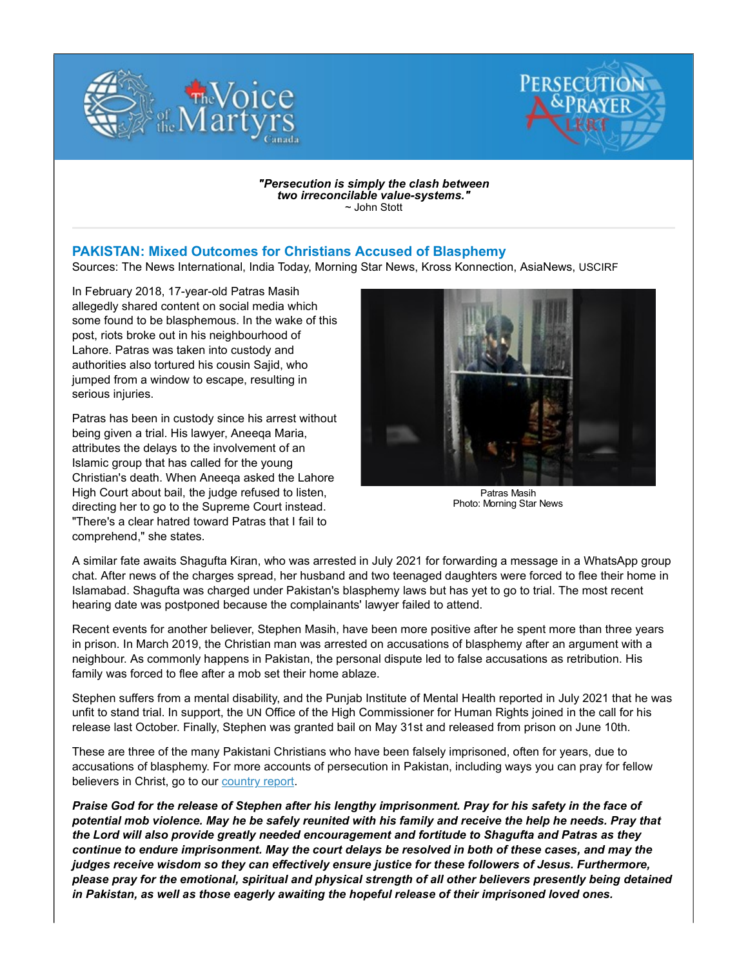



"Persecution is simply the clash between two irreconcilable value-systems." ~ John Stott

## PAKISTAN: Mixed Outcomes for Christians Accused of Blasphemy

Sources: The News International, India Today, Morning Star News, Kross Konnection, AsiaNews, USCIRF

In February 2018, 17-year-old Patras Masih allegedly shared content on social media which some found to be blasphemous. In the wake of this post, riots broke out in his neighbourhood of Lahore. Patras was taken into custody and authorities also tortured his cousin Sajid, who jumped from a window to escape, resulting in serious injuries.

Patras has been in custody since his arrest without being given a trial. His lawyer, Aneeqa Maria, attributes the delays to the involvement of an Islamic group that has called for the young Christian's death. When Aneeqa asked the Lahore High Court about bail, the judge refused to listen, directing her to go to the Supreme Court instead. "There's a clear hatred toward Patras that I fail to comprehend," she states.



Patras Masih Photo: Morning Star News

A similar fate awaits Shagufta Kiran, who was arrested in July 2021 for forwarding a message in a WhatsApp group chat. After news of the charges spread, her husband and two teenaged daughters were forced to flee their home in Islamabad. Shagufta was charged under Pakistan's blasphemy laws but has yet to go to trial. The most recent hearing date was postponed because the complainants' lawyer failed to attend.

Recent events for another believer, Stephen Masih, have been more positive after he spent more than three years in prison. In March 2019, the Christian man was arrested on accusations of blasphemy after an argument with a neighbour. As commonly happens in Pakistan, the personal dispute led to false accusations as retribution. His family was forced to flee after a mob set their home ablaze.

Stephen suffers from a mental disability, and the Punjab Institute of Mental Health reported in July 2021 that he was unfit to stand trial. In support, the UN Office of the High Commissioner for Human Rights joined in the call for his release last October. Finally, Stephen was granted bail on May 31st and released from prison on June 10th.

These are three of the many Pakistani Christians who have been falsely imprisoned, often for years, due to accusations of blasphemy. For more accounts of persecution in Pakistan, including ways you can pray for fellow believers in Christ, go to our country report.

Praise God for the release of Stephen after his lengthy imprisonment. Pray for his safety in the face of potential mob violence. May he be safely reunited with his family and receive the help he needs. Pray that the Lord will also provide greatly needed encouragement and fortitude to Shagufta and Patras as they continue to endure imprisonment. May the court delays be resolved in both of these cases, and may the judges receive wisdom so they can effectively ensure justice for these followers of Jesus. Furthermore, please pray for the emotional, spiritual and physical strength of all other believers presently being detained in Pakistan, as well as those eagerly awaiting the hopeful release of their imprisoned loved ones.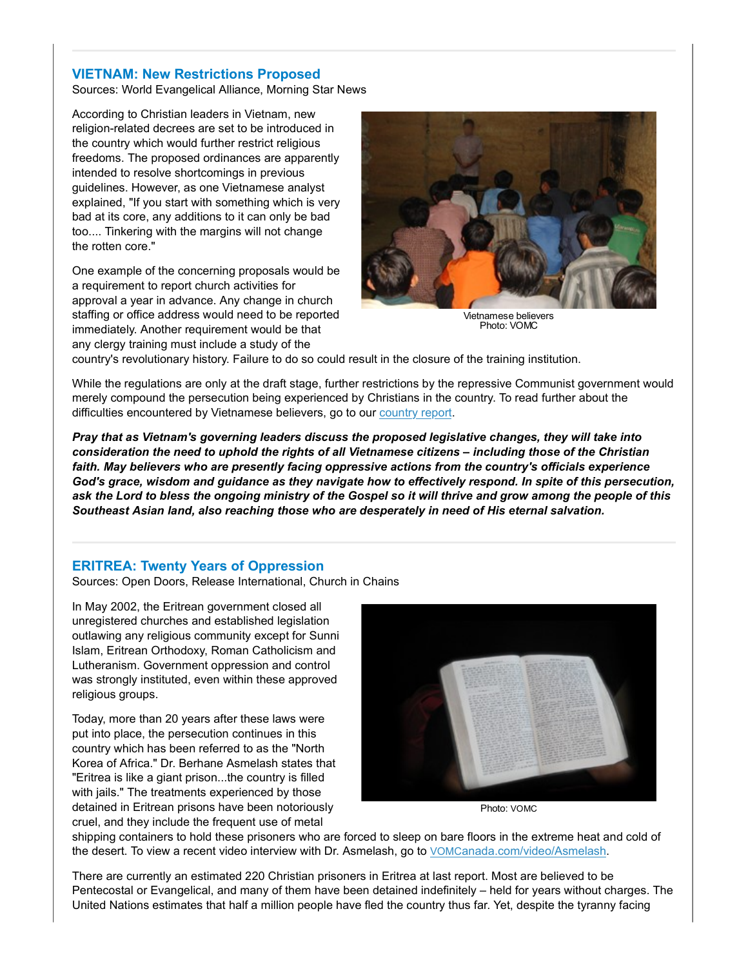## VIETNAM: New Restrictions Proposed

Sources: World Evangelical Alliance, Morning Star News

According to Christian leaders in Vietnam, new religion-related decrees are set to be introduced in the country which would further restrict religious freedoms. The proposed ordinances are apparently intended to resolve shortcomings in previous guidelines. However, as one Vietnamese analyst explained, "If you start with something which is very bad at its core, any additions to it can only be bad too.... Tinkering with the margins will not change the rotten core."

One example of the concerning proposals would be a requirement to report church activities for approval a year in advance. Any change in church staffing or office address would need to be reported immediately. Another requirement would be that any clergy training must include a study of the



Vietnamese believers Photo: VOMC

country's revolutionary history. Failure to do so could result in the closure of the training institution.

While the regulations are only at the draft stage, further restrictions by the repressive Communist government would merely compound the persecution being experienced by Christians in the country. To read further about the difficulties encountered by Vietnamese believers, go to our country report.

Pray that as Vietnam's governing leaders discuss the proposed legislative changes, they will take into consideration the need to uphold the rights of all Vietnamese citizens – including those of the Christian faith. May believers who are presently facing oppressive actions from the country's officials experience God's grace, wisdom and guidance as they navigate how to effectively respond. In spite of this persecution, ask the Lord to bless the ongoing ministry of the Gospel so it will thrive and grow among the people of this Southeast Asian land, also reaching those who are desperately in need of His eternal salvation.

## ERITREA: Twenty Years of Oppression

Sources: Open Doors, Release International, Church in Chains

In May 2002, the Eritrean government closed all unregistered churches and established legislation outlawing any religious community except for Sunni Islam, Eritrean Orthodoxy, Roman Catholicism and Lutheranism. Government oppression and control was strongly instituted, even within these approved religious groups.

Today, more than 20 years after these laws were put into place, the persecution continues in this country which has been referred to as the "North Korea of Africa." Dr. Berhane Asmelash states that "Eritrea is like a giant prison...the country is filled with jails." The treatments experienced by those detained in Eritrean prisons have been notoriously cruel, and they include the frequent use of metal



Photo: VOMC

shipping containers to hold these prisoners who are forced to sleep on bare floors in the extreme heat and cold of the desert. To view a recent video interview with Dr. Asmelash, go to VOMCanada.com/video/Asmelash.

There are currently an estimated 220 Christian prisoners in Eritrea at last report. Most are believed to be Pentecostal or Evangelical, and many of them have been detained indefinitely – held for years without charges. The United Nations estimates that half a million people have fled the country thus far. Yet, despite the tyranny facing